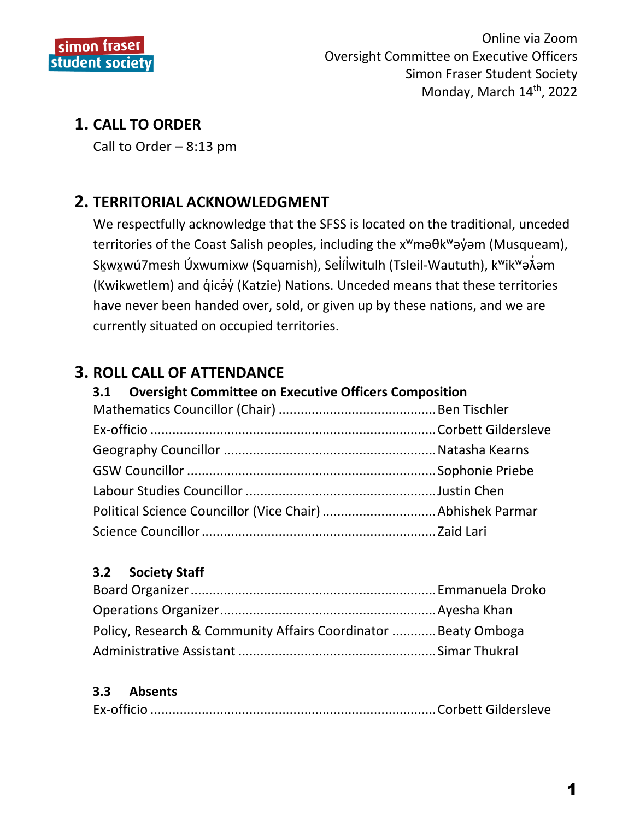

# **1. CALL TO ORDER**

Call to Order  $-8:13$  pm

# **2. TERRITORIAL ACKNOWLEDGMENT**

We respectfully acknowledge that the SFSS is located on the traditional, unceded territories of the Coast Salish peoples, including the x<sup>w</sup>ma0k<sup>w</sup>ayom (Musqueam), Skwxwú7mesh Úxwumixw (Squamish), Selílwitulh (Tsleil-Waututh), k<sup>w</sup>ik<sup>w</sup>a $\tilde{\lambda}$ am (Kwikwetlem) and gicay (Katzie) Nations. Unceded means that these territories have never been handed over, sold, or given up by these nations, and we are currently situated on occupied territories.

# **3. ROLL CALL OF ATTENDANCE**

#### **Oversight Committee on Executive Officers Composition**  $3.1$

#### $3.2$ **Society Staff**

| Policy, Research & Community Affairs Coordinator Beaty Omboga |  |
|---------------------------------------------------------------|--|
|                                                               |  |

#### $3.3$ **Absents**

|--|--|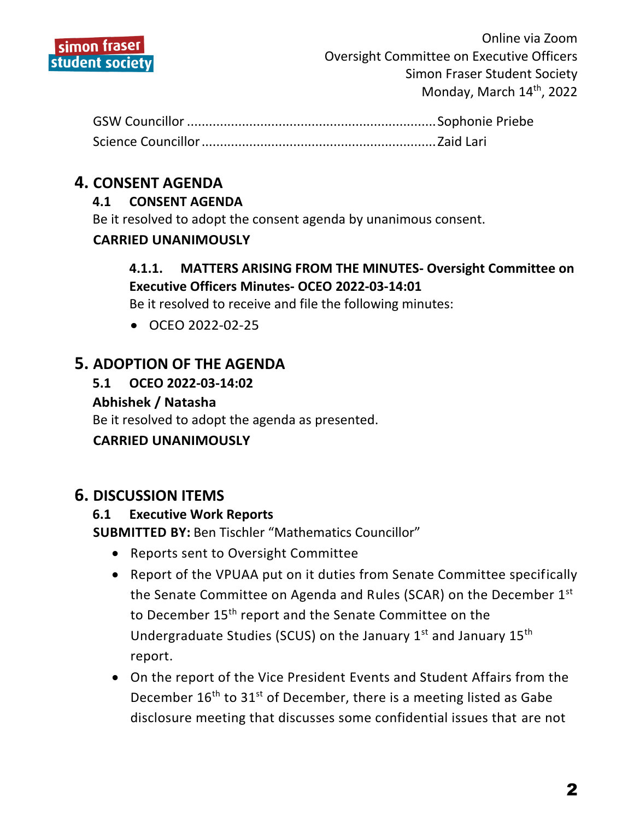

## **4. CONSENT AGENDA**

## **4.1 CONSENT AGENDA**

Be it resolved to adopt the consent agenda by unanimous consent.

### **CARRIED UNANIMOUSLY**

## **4.1.1. MATTERS ARISING FROM THE MINUTES- Oversight Committee on Executive Officers Minutes- OCEO 2022-03-14:01**

Be it resolved to receive and file the following minutes:

OCEO 2022-02-25

## **5. ADOPTION OF THE AGENDA**

**5.1 OCEO 2022-03-14:02**

### **Abhishek / Natasha**

Be it resolved to adopt the agenda as presented.

## **CARRIED UNANIMOUSLY**

## **6. DISCUSSION ITEMS**

#### **6.1 Executive Work Reports**

**SUBMITTED BY:** Ben Tischler "Mathematics Councillor"

- Reports sent to Oversight Committee
- Report of the VPUAA put on it duties from Senate Committee specifically the Senate Committee on Agenda and Rules (SCAR) on the December 1st to December 15<sup>th</sup> report and the Senate Committee on the Undergraduate Studies (SCUS) on the January  $1^{st}$  and January  $15^{th}$ report.
- On the report of the Vice President Events and Student Affairs from the December  $16<sup>th</sup>$  to  $31<sup>st</sup>$  of December, there is a meeting listed as Gabe disclosure meeting that discusses some confidential issues that are not